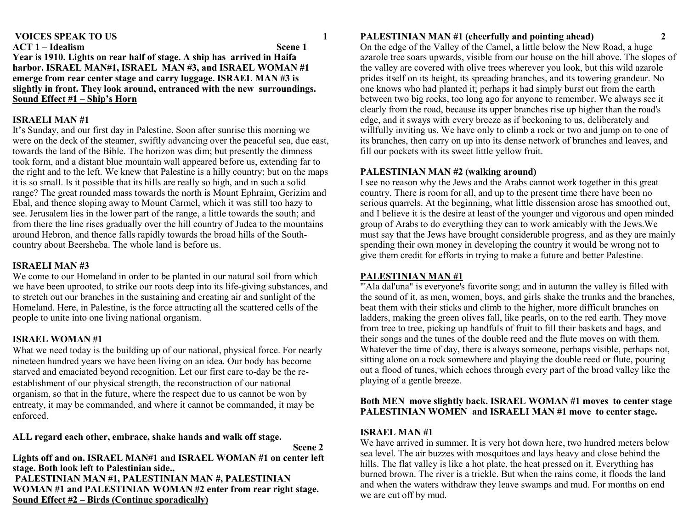# VOICES SPEAK TO US 2000 12

ACT 1 – Idealism Scene 1 Year is 1910. Lights on rear half of stage. A ship has arrived in Haifa harbor. ISRAEL MAN#1, ISRAEL MAN #3, and ISRAEL WOMAN #1 emerge from rear center stage and carry luggage. ISRAEL MAN #3 is slightly in front. They look around, entranced with the new surroundings. Sound Effect #1 – Ship's Horn

## ISRAELI MAN #1

It's Sunday, and our first day in Palestine. Soon after sunrise this morning we were on the deck of the steamer, swiftly advancing over the peaceful sea, due east, towards the land of the Bible. The horizon was dim; but presently the dimness took form, and a distant blue mountain wall appeared before us, extending far to the right and to the left. We knew that Palestine is a hilly country; but on the maps it is so small. Is it possible that its hills are really so high, and in such a solid range? The great rounded mass towards the north is Mount Ephraim, Gerizim and Ebal, and thence sloping away to Mount Carmel, which it was still too hazy to see. Jerusalem lies in the lower part of the range, a little towards the south; and from there the line rises gradually over the hill country of Judea to the mountains around Hebron, and thence falls rapidly towards the broad hills of the Southcountry about Beersheba. The whole land is before us.

# ISRAELI MAN #3

We come to our Homeland in order to be planted in our natural soil from which we have been uprooted, to strike our roots deep into its life-giving substances, and to stretch out our branches in the sustaining and creating air and sunlight of the Homeland. Here, in Palestine, is the force attracting all the scattered cells of the people to unite into one living national organism.

### ISRAEL WOMAN #1

What we need today is the building up of our national, physical force. For nearly nineteen hundred years we have been living on an idea. Our body has become starved and emaciated beyond recognition. Let our first care to-day be the reestablishment of our physical strength, the reconstruction of our national organism, so that in the future, where the respect due to us cannot be won by entreaty, it may be commanded, and where it cannot be commanded, it may be enforced.

### ALL regard each other, embrace, shake hands and walk off stage.

 Scene 2 Lights off and on. ISRAEL MAN#1 and ISRAEL WOMAN #1 on center left stage. Both look left to Palestinian side., PALESTINIAN MAN #1, PALESTINIAN MAN #, PALESTINIAN WOMAN #1 and PALESTINIAN WOMAN #2 enter from rear right stage. Sound Effect #2 – Birds (Continue sporadically)

### PALESTINIAN MAN #1 (cheerfully and pointing ahead) 2

On the edge of the Valley of the Camel, a little below the New Road, a huge azarole tree soars upwards, visible from our house on the hill above. The slopes of the valley are covered with olive trees wherever you look, but this wild azarole prides itself on its height, its spreading branches, and its towering grandeur. No one knows who had planted it; perhaps it had simply burst out from the earth between two big rocks, too long ago for anyone to remember. We always see it clearly from the road, because its upper branches rise up higher than the road's edge, and it sways with every breeze as if beckoning to us, deliberately and willfully inviting us. We have only to climb a rock or two and jump on to one of its branches, then carry on up into its dense network of branches and leaves, and fill our pockets with its sweet little yellow fruit.

# PALESTINIAN MAN #2 (walking around)

I see no reason why the Jews and the Arabs cannot work together in this great country. There is room for all, and up to the present time there have been no serious quarrels. At the beginning, what little dissension arose has smoothed out, and I believe it is the desire at least of the younger and vigorous and open minded group of Arabs to do everything they can to work amicably with the Jews.We must say that the Jews have brought considerable progress, and as they are mainly spending their own money in developing the country it would be wrong not to give them credit for efforts in trying to make a future and better Palestine.

# PALESTINIAN MAN #1

"'Ala dal'una" is everyone's favorite song; and in autumn the valley is filled with the sound of it, as men, women, boys, and girls shake the trunks and the branches, beat them with their sticks and climb to the higher, more difficult branches on ladders, making the green olives fall, like pearls, on to the red earth. They move from tree to tree, picking up handfuls of fruit to fill their baskets and bags, and their songs and the tunes of the double reed and the flute moves on with them. Whatever the time of day, there is always someone, perhaps visible, perhaps not, sitting alone on a rock somewhere and playing the double reed or flute, pouring out a flood of tunes, which echoes through every part of the broad valley like the playing of a gentle breeze.

# Both MEN move slightly back. ISRAEL WOMAN #1 moves to center stage PALESTINIAN WOMEN and ISRAELI MAN #1 move to center stage.

# ISRAEL MAN #1

We have arrived in summer. It is very hot down here, two hundred meters below sea level. The air buzzes with mosquitoes and lays heavy and close behind the hills. The flat valley is like a hot plate, the heat pressed on it. Everything has burned brown. The river is a trickle. But when the rains come, it floods the land and when the waters withdraw they leave swamps and mud. For months on end we are cut off by mud.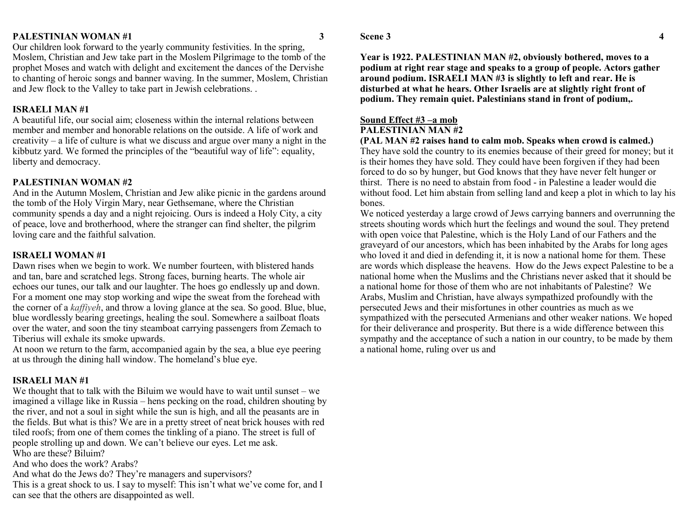### PALESTINIAN WOMAN #1 3

Our children look forward to the yearly community festivities. In the spring, Moslem, Christian and Jew take part in the Moslem Pilgrimage to the tomb of the prophet Moses and watch with delight and excitement the dances of the Dervishe to chanting of heroic songs and banner waving. In the summer, Moslem, Christian and Jew flock to the Valley to take part in Jewish celebrations. .

# ISRAELI MAN #1

A beautiful life, our social aim; closeness within the internal relations between member and member and honorable relations on the outside. A life of work and creativity – a life of culture is what we discuss and argue over many a night in the kibbutz yard. We formed the principles of the "beautiful way of life": equality, liberty and democracy.

# PALESTINIAN WOMAN #2

And in the Autumn Moslem, Christian and Jew alike picnic in the gardens around the tomb of the Holy Virgin Mary, near Gethsemane, where the Christian community spends a day and a night rejoicing. Ours is indeed a Holy City, a city of peace, love and brotherhood, where the stranger can find shelter, the pilgrim loving care and the faithful salvation.

### ISRAELI WOMAN #1

Dawn rises when we begin to work. We number fourteen, with blistered hands and tan, bare and scratched legs. Strong faces, burning hearts. The whole air echoes our tunes, our talk and our laughter. The hoes go endlessly up and down. For a moment one may stop working and wipe the sweat from the forehead with the corner of a kaffiyeh, and throw a loving glance at the sea. So good. Blue, blue, blue wordlessly bearing greetings, healing the soul. Somewhere a sailboat floats over the water, and soon the tiny steamboat carrying passengers from Zemach to Tiberius will exhale its smoke upwards.

At noon we return to the farm, accompanied again by the sea, a blue eye peering at us through the dining hall window. The homeland's blue eye.

### ISRAELI MAN #1

We thought that to talk with the Biluim we would have to wait until sunset – we imagined a village like in Russia – hens pecking on the road, children shouting by the river, and not a soul in sight while the sun is high, and all the peasants are in the fields. But what is this? We are in a pretty street of neat brick houses with red tiled roofs; from one of them comes the tinkling of a piano. The street is full of people strolling up and down. We can't believe our eyes. Let me ask. Who are these? Biluim?

And who does the work? Arabs?

And what do the Jews do? They're managers and supervisors? This is a great shock to us. I say to myself: This isn't what we've come for, and I can see that the others are disappointed as well.

Scene  $3 \t\t 4$ 

Year is 1922. PALESTINIAN MAN #2, obviously bothered, moves to a podium at right rear stage and speaks to a group of people. Actors gather around podium. ISRAELI MAN #3 is slightly to left and rear. He is disturbed at what he hears. Other Israelis are at slightly right front of podium. They remain quiet. Palestinians stand in front of podium,.

# Sound Effect #3 –a mob

# PALESTINIAN MAN #2

(PAL MAN #2 raises hand to calm mob. Speaks when crowd is calmed.) They have sold the country to its enemies because of their greed for money; but it is their homes they have sold. They could have been forgiven if they had been forced to do so by hunger, but God knows that they have never felt hunger or thirst. There is no need to abstain from food - in Palestine a leader would die without food. Let him abstain from selling land and keep a plot in which to lay his bones.

We noticed yesterday a large crowd of Jews carrying banners and overrunning the streets shouting words which hurt the feelings and wound the soul. They pretend with open voice that Palestine, which is the Holy Land of our Fathers and the graveyard of our ancestors, which has been inhabited by the Arabs for long ages who loved it and died in defending it, it is now a national home for them. These are words which displease the heavens. How do the Jews expect Palestine to be a national home when the Muslims and the Christians never asked that it should be a national home for those of them who are not inhabitants of Palestine? We Arabs, Muslim and Christian, have always sympathized profoundly with the persecuted Jews and their misfortunes in other countries as much as we sympathized with the persecuted Armenians and other weaker nations. We hoped for their deliverance and prosperity. But there is a wide difference between this sympathy and the acceptance of such a nation in our country, to be made by them a national home, ruling over us and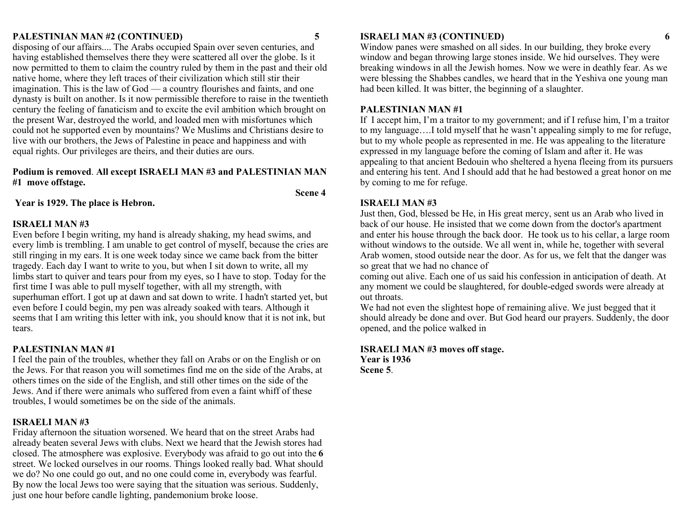## PALESTINIAN MAN #2 (CONTINUED) 5

disposing of our affairs.... The Arabs occupied Spain over seven centuries, and having established themselves there they were scattered all over the globe. Is it now permitted to them to claim the country ruled by them in the past and their old native home, where they left traces of their civilization which still stir their imagination. This is the law of God — a country flourishes and faints, and one dynasty is built on another. Is it now permissible therefore to raise in the twentieth century the feeling of fanaticism and to excite the evil ambition which brought on the present War, destroyed the world, and loaded men with misfortunes which could not he supported even by mountains? We Muslims and Christians desire to live with our brothers, the Jews of Palestine in peace and happiness and with equal rights. Our privileges are theirs, and their duties are ours.

#### Podium is removed. All except ISRAELI MAN #3 and PALESTINIAN MAN #1 move offstage.

Scene 4

Year is 1929. The place is Hebron.

### ISRAELI MAN #3

Even before I begin writing, my hand is already shaking, my head swims, and every limb is trembling. I am unable to get control of myself, because the cries are still ringing in my ears. It is one week today since we came back from the bitter tragedy. Each day I want to write to you, but when I sit down to write, all my limbs start to quiver and tears pour from my eyes, so I have to stop. Today for the first time I was able to pull myself together, with all my strength, with superhuman effort. I got up at dawn and sat down to write. I hadn't started yet, but even before I could begin, my pen was already soaked with tears. Although it seems that I am writing this letter with ink, you should know that it is not ink, but tears.

# PALESTINIAN MAN #1

I feel the pain of the troubles, whether they fall on Arabs or on the English or on the Jews. For that reason you will sometimes find me on the side of the Arabs, at others times on the side of the English, and still other times on the side of the Jews. And if there were animals who suffered from even a faint whiff of these troubles, I would sometimes be on the side of the animals.

# ISRAELI MAN #3

Friday afternoon the situation worsened. We heard that on the street Arabs had already beaten several Jews with clubs. Next we heard that the Jewish stores had closed. The atmosphere was explosive. Everybody was afraid to go out into the 6 street. We locked ourselves in our rooms. Things looked really bad. What should we do? No one could go out, and no one could come in, everybody was fearful. By now the local Jews too were saying that the situation was serious. Suddenly, just one hour before candle lighting, pandemonium broke loose.

# ISRAELI MAN #3 (CONTINUED) 6

Window panes were smashed on all sides. In our building, they broke every window and began throwing large stones inside. We hid ourselves. They were breaking windows in all the Jewish homes. Now we were in deathly fear. As we were blessing the Shabbes candles, we heard that in the Yeshiva one young man had been killed. It was bitter, the beginning of a slaughter.

### PALESTINIAN MAN #1

If I accept him, I'm a traitor to my government; and if I refuse him, I'm a traitor to my language….I told myself that he wasn't appealing simply to me for refuge, but to my whole people as represented in me. He was appealing to the literature expressed in my language before the coming of Islam and after it. He was appealing to that ancient Bedouin who sheltered a hyena fleeing from its pursuers and entering his tent. And I should add that he had bestowed a great honor on me by coming to me for refuge.

### ISRAELI MAN #3

Just then, God, blessed be He, in His great mercy, sent us an Arab who lived in back of our house. He insisted that we come down from the doctor's apartment and enter his house through the back door. He took us to his cellar, a large room without windows to the outside. We all went in, while he, together with several Arab women, stood outside near the door. As for us, we felt that the danger was so great that we had no chance of

coming out alive. Each one of us said his confession in anticipation of death. At any moment we could be slaughtered, for double-edged swords were already at out throats.

We had not even the slightest hope of remaining alive. We just begged that it should already be done and over. But God heard our prayers. Suddenly, the door opened, and the police walked in

ISRAELI MAN #3 moves off stage. Year is 1936 Scene 5.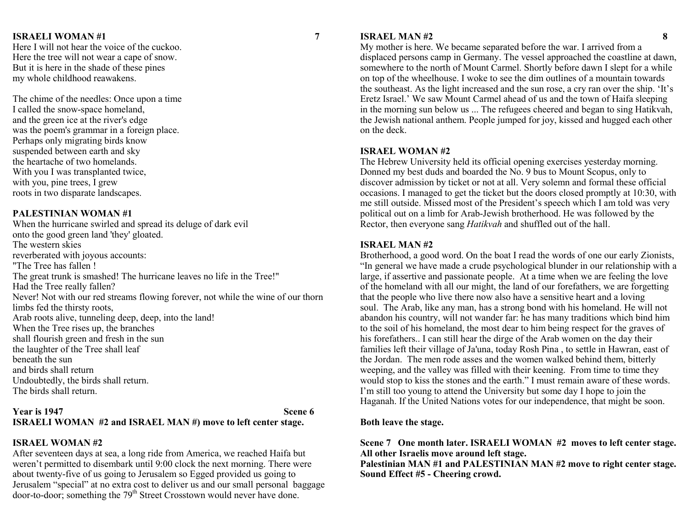#### ISRAELI WOMAN #1 7

Here I will not hear the voice of the cuckoo. Here the tree will not wear a cape of snow. But it is here in the shade of these pines my whole childhood reawakens.

The chime of the needles: Once upon a time I called the snow-space homeland, and the green ice at the river's edge was the poem's grammar in a foreign place. Perhaps only migrating birds know suspended between earth and sky the heartache of two homelands. With you I was transplanted twice, with you, pine trees, I grew roots in two disparate landscapes.

#### PALESTINIAN WOMAN #1

When the hurricane swirled and spread its deluge of dark evil onto the good green land 'they' gloated. The western skies reverberated with joyous accounts: "The Tree has fallen ! The great trunk is smashed! The hurricane leaves no life in the Tree!" Had the Tree really fallen? Never! Not with our red streams flowing forever, not while the wine of our thorn limbs fed the thirsty roots, Arab roots alive, tunneling deep, deep, into the land! When the Tree rises up, the branches shall flourish green and fresh in the sun the laughter of the Tree shall leaf beneath the sun and birds shall return Undoubtedly, the birds shall return. The birds shall return.

### **Year is 1947** Scene 6 ISRAELI WOMAN #2 and ISRAEL MAN #) move to left center stage.

# ISRAEL WOMAN #2

After seventeen days at sea, a long ride from America, we reached Haifa but weren't permitted to disembark until 9:00 clock the next morning. There were about twenty-five of us going to Jerusalem so Egged provided us going to Jerusalem "special" at no extra cost to deliver us and our small personal baggage door-to-door; something the 79<sup>th</sup> Street Crosstown would never have done.

# $\text{ISRAEL MAN #2}$  8

My mother is here. We became separated before the war. I arrived from a displaced persons camp in Germany. The vessel approached the coastline at dawn, somewhere to the north of Mount Carmel. Shortly before dawn I slept for a while on top of the wheelhouse. I woke to see the dim outlines of a mountain towards the southeast. As the light increased and the sun rose, a cry ran over the ship. 'It's Eretz Israel.' We saw Mount Carmel ahead of us and the town of Haifa sleeping in the morning sun below us ... The refugees cheered and began to sing Hatikvah, the Jewish national anthem. People jumped for joy, kissed and hugged each other on the deck.

#### ISRAEL WOMAN #2

The Hebrew University held its official opening exercises yesterday morning. Donned my best duds and boarded the No. 9 bus to Mount Scopus, only to discover admission by ticket or not at all. Very solemn and formal these official occasions. I managed to get the ticket but the doors closed promptly at 10:30, with me still outside. Missed most of the President's speech which I am told was very political out on a limb for Arab-Jewish brotherhood. He was followed by the Rector, then everyone sang *Hatikvah* and shuffled out of the hall.

#### ISRAEL MAN #2

Brotherhood, a good word. On the boat I read the words of one our early Zionists, "In general we have made a crude psychological blunder in our relationship with a large, if assertive and passionate people. At a time when we are feeling the love of the homeland with all our might, the land of our forefathers, we are forgetting that the people who live there now also have a sensitive heart and a loving soul. The Arab, like any man, has a strong bond with his homeland. He will not abandon his country, will not wander far: he has many traditions which bind him to the soil of his homeland, the most dear to him being respect for the graves of his forefathers.. I can still hear the dirge of the Arab women on the day their families left their village of Ja'una, today Rosh Pina , to settle in Hawran, east of the Jordan. The men rode asses and the women walked behind them, bitterly weeping, and the valley was filled with their keening. From time to time they would stop to kiss the stones and the earth." I must remain aware of these words. I'm still too young to attend the University but some day I hope to join the Haganah. If the United Nations votes for our independence, that might be soon.

#### Both leave the stage.

Scene 7 One month later. ISRAELI WOMAN #2 moves to left center stage. All other Israelis move around left stage.

Palestinian MAN #1 and PALESTINIAN MAN #2 move to right center stage. Sound Effect #5 - Cheering crowd.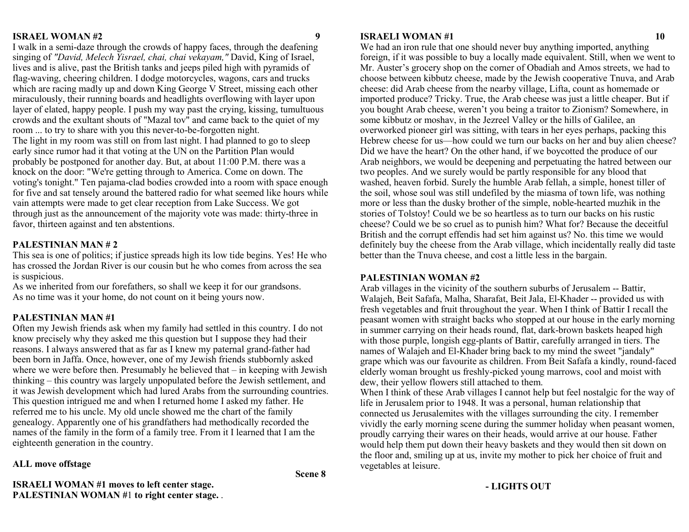### $\text{ISRAEL WOMAN} \#2$  9

I walk in a semi-daze through the crowds of happy faces, through the deafening singing of "David, Melech Yisrael, chai, chai vekayam," David, King of Israel, lives and is alive, past the British tanks and jeeps piled high with pyramids of flag-waving, cheering children. I dodge motorcycles, wagons, cars and trucks which are racing madly up and down King George V Street, missing each other miraculously, their running boards and headlights overflowing with layer upon layer of elated, happy people. I push my way past the crying, kissing, tumultuous crowds and the exultant shouts of "Mazal tov" and came back to the quiet of my room ... to try to share with you this never-to-be-forgotten night. The light in my room was still on from last night. I had planned to go to sleep early since rumor had it that voting at the UN on the Partition Plan would probably be postponed for another day. But, at about 11:00 P.M. there was a knock on the door: "We're getting through to America. Come on down. The voting's tonight." Ten pajama-clad bodies crowded into a room with space enough for five and sat tensely around the battered radio for what seemed like hours while vain attempts were made to get clear reception from Lake Success. We got through just as the announcement of the majority vote was made: thirty-three in favor, thirteen against and ten abstentions.

# PALESTINIAN MAN # 2

This sea is one of politics; if justice spreads high its low tide begins. Yes! He who has crossed the Jordan River is our cousin but he who comes from across the sea is suspicious.

As we inherited from our forefathers, so shall we keep it for our grandsons. As no time was it your home, do not count on it being yours now.

### PALESTINIAN MAN #1

Often my Jewish friends ask when my family had settled in this country. I do not know precisely why they asked me this question but I suppose they had their reasons. I always answered that as far as I knew my paternal grand-father had been born in Jaffa. Once, however, one of my Jewish friends stubbornly asked where we were before then. Presumably he believed that – in keeping with Jewish thinking – this country was largely unpopulated before the Jewish settlement, and it was Jewish development which had lured Arabs from the surrounding countries. This question intrigued me and when I returned home I asked my father. He referred me to his uncle. My old uncle showed me the chart of the family genealogy. Apparently one of his grandfathers had methodically recorded the names of the family in the form of a family tree. From it I learned that I am the eighteenth generation in the country.

# ALL move offstage

Scene 8

#### $\text{ISRAELI WOMAN #1}$  10

We had an iron rule that one should never buy anything imported, anything foreign, if it was possible to buy a locally made equivalent. Still, when we went to Mr. Auster's grocery shop on the corner of Obadiah and Amos streets, we had to choose between kibbutz cheese, made by the Jewish cooperative Tnuva, and Arab cheese: did Arab cheese from the nearby village, Lifta, count as homemade or imported produce? Tricky. True, the Arab cheese was just a little cheaper. But if you bought Arab cheese, weren't you being a traitor to Zionism? Somewhere, in some kibbutz or moshav, in the Jezreel Valley or the hills of Galilee, an overworked pioneer girl was sitting, with tears in her eyes perhaps, packing this Hebrew cheese for us—how could we turn our backs on her and buy alien cheese? Did we have the heart? On the other hand, if we boycotted the produce of our Arab neighbors, we would be deepening and perpetuating the hatred between our two peoples. And we surely would be partly responsible for any blood that washed, heaven forbid. Surely the humble Arab fellah, a simple, honest tiller of the soil, whose soul was still undefiled by the miasma of town life, was nothing more or less than the dusky brother of the simple, noble-hearted muzhik in the stories of Tolstoy! Could we be so heartless as to turn our backs on his rustic cheese? Could we be so cruel as to punish him? What for? Because the deceitful British and the corrupt effendis had set him against us? No. this time we would definitely buy the cheese from the Arab village, which incidentally really did taste better than the Tnuva cheese, and cost a little less in the bargain.

### PALESTINIAN WOMAN #2

Arab villages in the vicinity of the southern suburbs of Jerusalem -- Battir, Walajeh, Beit Safafa, Malha, Sharafat, Beit Jala, El-Khader -- provided us with fresh vegetables and fruit throughout the year. When I think of Battir I recall the peasant women with straight backs who stopped at our house in the early morning in summer carrying on their heads round, flat, dark-brown baskets heaped high with those purple, longish egg-plants of Battir, carefully arranged in tiers. The names of Walajeh and El-Khader bring back to my mind the sweet "jandaly" grape which was our favourite as children. From Beit Safafa a kindly, round-faced elderly woman brought us freshly-picked young marrows, cool and moist with dew, their yellow flowers still attached to them.

When I think of these Arab villages I cannot help but feel nostalgic for the way of life in Jerusalem prior to 1948. It was a personal, human relationship that connected us Jerusalemites with the villages surrounding the city. I remember vividly the early morning scene during the summer holiday when peasant women, proudly carrying their wares on their heads, would arrive at our house. Father would help them put down their heavy baskets and they would then sit down on the floor and, smiling up at us, invite my mother to pick her choice of fruit and vegetables at leisure.

- LIGHTS OUT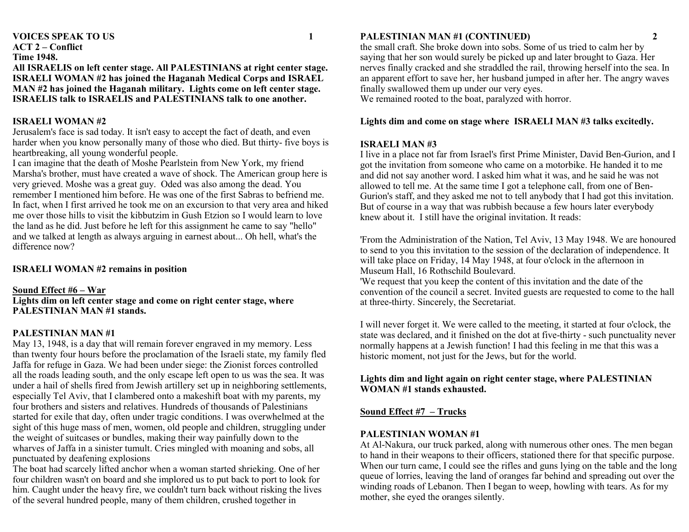VOICES SPEAK TO US 2000 12 ACT 2 – Conflict Time 1948.

All ISRAELIS on left center stage. All PALESTINIANS at right center stage. ISRAELI WOMAN #2 has joined the Haganah Medical Corps and ISRAEL MAN #2 has joined the Haganah military. Lights come on left center stage. ISRAELIS talk to ISRAELIS and PALESTINIANS talk to one another.

### ISRAELI WOMAN #2

Jerusalem's face is sad today. It isn't easy to accept the fact of death, and even harder when you know personally many of those who died. But thirty- five boys is heartbreaking, all young wonderful people.

I can imagine that the death of Moshe Pearlstein from New York, my friend Marsha's brother, must have created a wave of shock. The American group here is very grieved. Moshe was a great guy. Oded was also among the dead. You remember I mentioned him before. He was one of the first Sabras to befriend me. In fact, when I first arrived he took me on an excursion to that very area and hiked me over those hills to visit the kibbutzim in Gush Etzion so I would learn to love the land as he did. Just before he left for this assignment he came to say "hello" and we talked at length as always arguing in earnest about... Oh hell, what's the difference now?

## ISRAELI WOMAN #2 remains in position

Sound Effect #6 – War Lights dim on left center stage and come on right center stage, where PALESTINIAN MAN #1 stands.

### PALESTINIAN MAN #1

May 13, 1948, is a day that will remain forever engraved in my memory. Less than twenty four hours before the proclamation of the Israeli state, my family fled Jaffa for refuge in Gaza. We had been under siege: the Zionist forces controlled all the roads leading south, and the only escape left open to us was the sea. It was under a hail of shells fired from Jewish artillery set up in neighboring settlements, especially Tel Aviv, that I clambered onto a makeshift boat with my parents, my four brothers and sisters and relatives. Hundreds of thousands of Palestinians started for exile that day, often under tragic conditions. I was overwhelmed at the sight of this huge mass of men, women, old people and children, struggling under the weight of suitcases or bundles, making their way painfully down to the wharves of Jaffa in a sinister tumult. Cries mingled with moaning and sobs, all punctuated by deafening explosions

The boat had scarcely lifted anchor when a woman started shrieking. One of her four children wasn't on board and she implored us to put back to port to look for him. Caught under the heavy fire, we couldn't turn back without risking the lives of the several hundred people, many of them children, crushed together in

## PALESTINIAN MAN #1 (CONTINUED) 2

the small craft. She broke down into sobs. Some of us tried to calm her by saying that her son would surely be picked up and later brought to Gaza. Her nerves finally cracked and she straddled the rail, throwing herself into the sea. In an apparent effort to save her, her husband jumped in after her. The angry waves finally swallowed them up under our very eyes.

We remained rooted to the boat, paralyzed with horror.

#### Lights dim and come on stage where ISRAELI MAN #3 talks excitedly.

#### ISRAELI MAN #3

I live in a place not far from Israel's first Prime Minister, David Ben-Gurion, and I got the invitation from someone who came on a motorbike. He handed it to me and did not say another word. I asked him what it was, and he said he was not allowed to tell me. At the same time I got a telephone call, from one of Ben-Gurion's staff, and they asked me not to tell anybody that I had got this invitation. But of course in a way that was rubbish because a few hours later everybody knew about it. I still have the original invitation. It reads:

'From the Administration of the Nation, Tel Aviv, 13 May 1948. We are honoured to send to you this invitation to the session of the declaration of independence. It will take place on Friday, 14 May 1948, at four o'clock in the afternoon in Museum Hall, 16 Rothschild Boulevard.

'We request that you keep the content of this invitation and the date of the convention of the council a secret. Invited guests are requested to come to the hall at three-thirty. Sincerely, the Secretariat.

I will never forget it. We were called to the meeting, it started at four o'clock, the state was declared, and it finished on the dot at five-thirty - such punctuality never normally happens at a Jewish function! I had this feeling in me that this was a historic moment, not just for the Jews, but for the world.

## Lights dim and light again on right center stage, where PALESTINIAN WOMAN #1 stands exhausted.

#### Sound Effect #7 – Trucks

## PALESTINIAN WOMAN #1

At Al-Nakura, our truck parked, along with numerous other ones. The men began to hand in their weapons to their officers, stationed there for that specific purpose. When our turn came, I could see the rifles and guns lying on the table and the long queue of lorries, leaving the land of oranges far behind and spreading out over the winding roads of Lebanon. Then I began to weep, howling with tears. As for my mother, she eyed the oranges silently.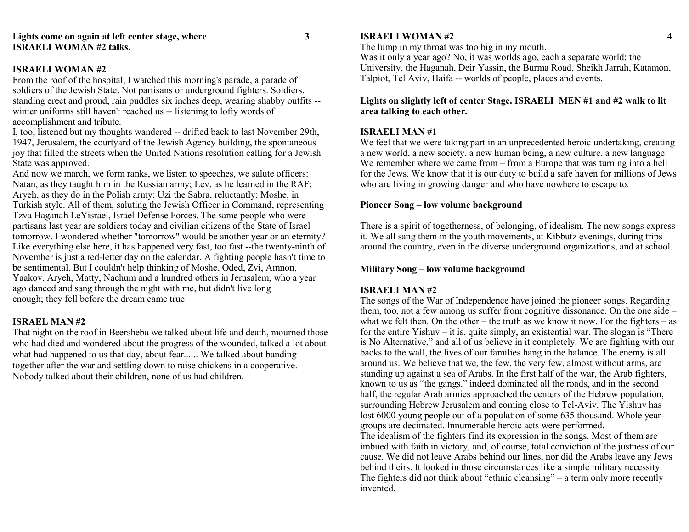#### Lights come on again at left center stage, where 3 ISRAELI WOMAN #2 talks.

# ISRAELI WOMAN #2

From the roof of the hospital, I watched this morning's parade, a parade of soldiers of the Jewish State. Not partisans or underground fighters. Soldiers, standing erect and proud, rain puddles six inches deep, wearing shabby outfits - winter uniforms still haven't reached us -- listening to lofty words of accomplishment and tribute.

I, too, listened but my thoughts wandered -- drifted back to last November 29th, 1947, Jerusalem, the courtyard of the Jewish Agency building, the spontaneous joy that filled the streets when the United Nations resolution calling for a Jewish State was approved.

And now we march, we form ranks, we listen to speeches, we salute officers: Natan, as they taught him in the Russian army; Lev, as he learned in the RAF; Aryeh, as they do in the Polish army; Uzi the Sabra, reluctantly; Moshe, in Turkish style. All of them, saluting the Jewish Officer in Command, representing Tzva Haganah LeYisrael, Israel Defense Forces. The same people who were partisans last year are soldiers today and civilian citizens of the State of Israel tomorrow. I wondered whether "tomorrow" would be another year or an eternity? Like everything else here, it has happened very fast, too fast --the twenty-ninth of November is just a red-letter day on the calendar. A fighting people hasn't time to be sentimental. But I couldn't help thinking of Moshe, Oded, Zvi, Amnon, Yaakov, Aryeh, Matty, Nachum and a hundred others in Jerusalem, who a year ago danced and sang through the night with me, but didn't live long enough; they fell before the dream came true.

# ISRAEL MAN #2

That night on the roof in Beersheba we talked about life and death, mourned those who had died and wondered about the progress of the wounded, talked a lot about what had happened to us that day, about fear...... We talked about banding together after the war and settling down to raise chickens in a cooperative. Nobody talked about their children, none of us had children.

# ISRAELI WOMAN #2 4

The lump in my throat was too big in my mouth.

Was it only a year ago? No, it was worlds ago, each a separate world: the University, the Haganah, Deir Yassin, the Burma Road, Sheikh Jarrah, Katamon, Talpiot, Tel Aviv, Haifa -- worlds of people, places and events.

# Lights on slightly left of center Stage. ISRAELI MEN #1 and #2 walk to lit area talking to each other.

# ISRAELI MAN #1

We feel that we were taking part in an unprecedented heroic undertaking, creating a new world, a new society, a new human being, a new culture, a new language. We remember where we came from – from a Europe that was turning into a hell for the Jews. We know that it is our duty to build a safe haven for millions of Jews who are living in growing danger and who have nowhere to escape to.

### Pioneer Song – low volume background

There is a spirit of togetherness, of belonging, of idealism. The new songs express it. We all sang them in the youth movements, at Kibbutz evenings, during trips around the country, even in the diverse underground organizations, and at school.

# Military Song – low volume background

# ISRAELI MAN #2

The songs of the War of Independence have joined the pioneer songs. Regarding them, too, not a few among us suffer from cognitive dissonance. On the one side – what we felt then. On the other – the truth as we know it now. For the fighters – as for the entire Yishuv – it is, quite simply, an existential war. The slogan is "There is No Alternative," and all of us believe in it completely. We are fighting with our backs to the wall, the lives of our families hang in the balance. The enemy is all around us. We believe that we, the few, the very few, almost without arms, are standing up against a sea of Arabs. In the first half of the war, the Arab fighters, known to us as "the gangs." indeed dominated all the roads, and in the second half, the regular Arab armies approached the centers of the Hebrew population, surrounding Hebrew Jerusalem and coming close to Tel-Aviv. The Yishuv has lost 6000 young people out of a population of some 635 thousand. Whole yeargroups are decimated. Innumerable heroic acts were performed.

The idealism of the fighters find its expression in the songs. Most of them are imbued with faith in victory, and, of course, total conviction of the justness of our cause. We did not leave Arabs behind our lines, nor did the Arabs leave any Jews behind theirs. It looked in those circumstances like a simple military necessity. The fighters did not think about "ethnic cleansing" – a term only more recently invented.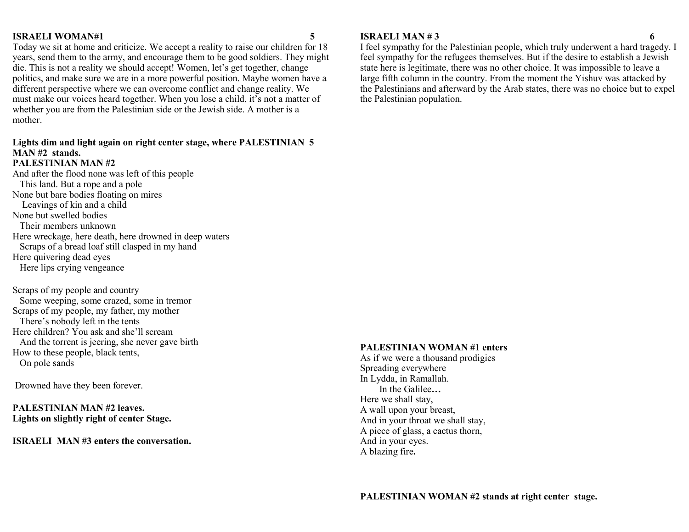#### ISRAELI WOMAN#1 5

Today we sit at home and criticize. We accept a reality to raise our children for 18 years, send them to the army, and encourage them to be good soldiers. They might die. This is not a reality we should accept! Women, let's get together, change politics, and make sure we are in a more powerful position. Maybe women have a different perspective where we can overcome conflict and change reality. We must make our voices heard together. When you lose a child, it's not a matter of whether you are from the Palestinian side or the Jewish side. A mother is a mother.

#### Lights dim and light again on right center stage, where PALESTINIAN 5 MAN #2 stands. PALESTINIAN MAN #2

And after the flood none was left of this people This land. But a rope and a pole None but bare bodies floating on mires Leavings of kin and a child None but swelled bodies Their members unknown Here wreckage, here death, here drowned in deep waters Scraps of a bread loaf still clasped in my hand Here quivering dead eyes Here lips crying vengeance

Scraps of my people and country Some weeping, some crazed, some in tremor Scraps of my people, my father, my mother There's nobody left in the tents Here children? You ask and she'll scream And the torrent is jeering, she never gave birth How to these people, black tents, On pole sands

Drowned have they been forever.

PALESTINIAN MAN #2 leaves. Lights on slightly right of center Stage.

ISRAELI MAN #3 enters the conversation.

### $\text{ISRAELI MAN} \# 3$  6

I feel sympathy for the Palestinian people, which truly underwent a hard tragedy. I feel sympathy for the refugees themselves. But if the desire to establish a Jewish state here is legitimate, there was no other choice. It was impossible to leave a large fifth column in the country. From the moment the Yishuv was attacked by the Palestinians and afterward by the Arab states, there was no choice but to expel the Palestinian population.

#### PALESTINIAN WOMAN #1 enters

As if we were a thousand prodigies Spreading everywhere In Lydda, in Ramallah. In the Galilee… Here we shall stay, A wall upon your breast, And in your throat we shall stay, A piece of glass, a cactus thorn, And in your eyes. A blazing fire.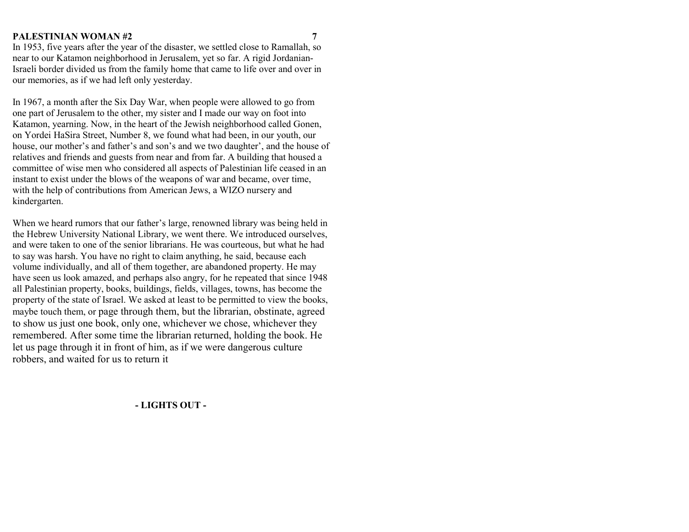### PALESTINIAN WOMAN #2 7

In 1953, five years after the year of the disaster, we settled close to Ramallah, so near to our Katamon neighborhood in Jerusalem, yet so far. A rigid Jordanian-Israeli border divided us from the family home that came to life over and over in our memories, as if we had left only yesterday.

In 1967, a month after the Six Day War, when people were allowed to go from one part of Jerusalem to the other, my sister and I made our way on foot into Katamon, yearning. Now, in the heart of the Jewish neighborhood called Gonen, on Yordei HaSira Street, Number 8, we found what had been, in our youth, our house, our mother's and father's and son's and we two daughter', and the house of relatives and friends and guests from near and from far. A building that housed a committee of wise men who considered all aspects of Palestinian life ceased in an instant to exist under the blows of the weapons of war and became, over time, with the help of contributions from American Jews, a WIZO nursery and kindergarten.

When we heard rumors that our father's large, renowned library was being held in the Hebrew University National Library, we went there. We introduced ourselves, and were taken to one of the senior librarians. He was courteous, but what he had to say was harsh. You have no right to claim anything, he said, because each volume individually, and all of them together, are abandoned property. He may have seen us look amazed, and perhaps also angry, for he repeated that since 1948 all Palestinian property, books, buildings, fields, villages, towns, has become the property of the state of Israel. We asked at least to be permitted to view the books, maybe touch them, or page through them, but the librarian, obstinate, agreed to show us just one book, only one, whichever we chose, whichever they remembered. After some time the librarian returned, holding the book. He let us page through it in front of him, as if we were dangerous culture robbers, and waited for us to return it

- LIGHTS OUT -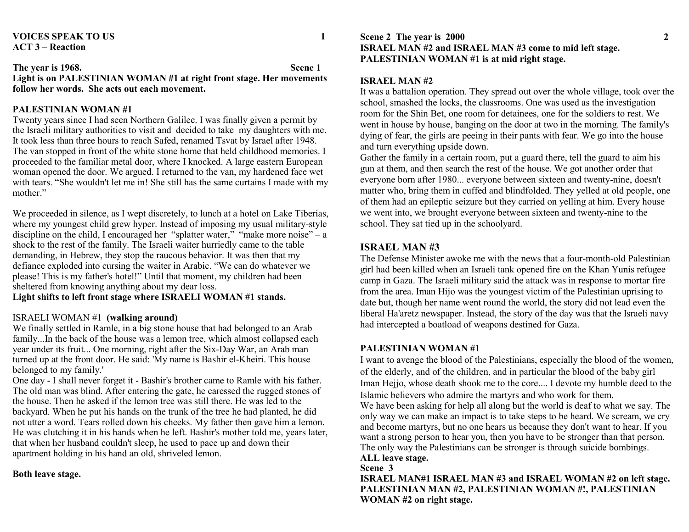### VOICES SPEAK TO US 1 ACT 3 – Reaction

The year is 1968. Scene 1 Light is on PALESTINIAN WOMAN #1 at right front stage. Her movements follow her words. She acts out each movement.

# PALESTINIAN WOMAN #1

Twenty years since I had seen Northern Galilee. I was finally given a permit by the Israeli military authorities to visit and decided to take my daughters with me. It took less than three hours to reach Safed, renamed Tsvat by Israel after 1948. The van stopped in front of the white stone home that held childhood memories. I proceeded to the familiar metal door, where I knocked. A large eastern European woman opened the door. We argued. I returned to the van, my hardened face wet with tears. "She wouldn't let me in! She still has the same curtains I made with my mother."

We proceeded in silence, as I wept discretely, to lunch at a hotel on Lake Tiberias, where my youngest child grew hyper. Instead of imposing my usual military-style discipline on the child, I encouraged her "splatter water," "make more noise" – a shock to the rest of the family. The Israeli waiter hurriedly came to the table demanding, in Hebrew, they stop the raucous behavior. It was then that my defiance exploded into cursing the waiter in Arabic. "We can do whatever we please! This is my father's hotel!" Until that moment, my children had been sheltered from knowing anything about my dear loss.

Light shifts to left front stage where ISRAELI WOMAN #1 stands.

### ISRAELI WOMAN #1 (walking around)

We finally settled in Ramle, in a big stone house that had belonged to an Arab family...In the back of the house was a lemon tree, which almost collapsed each year under its fruit... One morning, right after the Six-Day War, an Arab man turned up at the front door. He said: 'My name is Bashir el-Kheiri. This house belonged to my family.'

One day - I shall never forget it - Bashir's brother came to Ramle with his father. The old man was blind. After entering the gate, he caressed the rugged stones of the house. Then he asked if the lemon tree was still there. He was led to the backyard. When he put his hands on the trunk of the tree he had planted, he did not utter a word. Tears rolled down his cheeks. My father then gave him a lemon. He was clutching it in his hands when he left. Bashir's mother told me, years later, that when her husband couldn't sleep, he used to pace up and down their apartment holding in his hand an old, shriveled lemon.

### Both leave stage.

#### ISRAEL MAN #2

It was a battalion operation. They spread out over the whole village, took over the school, smashed the locks, the classrooms. One was used as the investigation room for the Shin Bet, one room for detainees, one for the soldiers to rest. We went in house by house, banging on the door at two in the morning. The family's dying of fear, the girls are peeing in their pants with fear. We go into the house and turn everything upside down.

Gather the family in a certain room, put a guard there, tell the guard to aim his gun at them, and then search the rest of the house. We got another order that everyone born after 1980... everyone between sixteen and twenty-nine, doesn't matter who, bring them in cuffed and blindfolded. They yelled at old people, one of them had an epileptic seizure but they carried on yelling at him. Every house we went into, we brought everyone between sixteen and twenty-nine to the school. They sat tied up in the schoolyard.

# ISRAEL MAN #3

The Defense Minister awoke me with the news that a four-month-old Palestinian girl had been killed when an Israeli tank opened fire on the Khan Yunis refugee camp in Gaza. The Israeli military said the attack was in response to mortar fire from the area. Iman Hijo was the youngest victim of the Palestinian uprising to date but, though her name went round the world, the story did not lead even the liberal Ha'aretz newspaper. Instead, the story of the day was that the Israeli navy had intercepted a boatload of weapons destined for Gaza.

### PALESTINIAN WOMAN #1

I want to avenge the blood of the Palestinians, especially the blood of the women, of the elderly, and of the children, and in particular the blood of the baby girl Iman Hejjo, whose death shook me to the core.... I devote my humble deed to the Islamic believers who admire the martyrs and who work for them.

We have been asking for help all along but the world is deaf to what we say. The only way we can make an impact is to take steps to be heard. We scream, we cry and become martyrs, but no one hears us because they don't want to hear. If you want a strong person to hear you, then you have to be stronger than that person. The only way the Palestinians can be stronger is through suicide bombings. ALL leave stage.

### Scene 3

ISRAEL MAN#1 ISRAEL MAN #3 and ISRAEL WOMAN #2 on left stage. PALESTINIAN MAN #2, PALESTINIAN WOMAN #!, PALESTINIAN WOMAN #2 on right stage.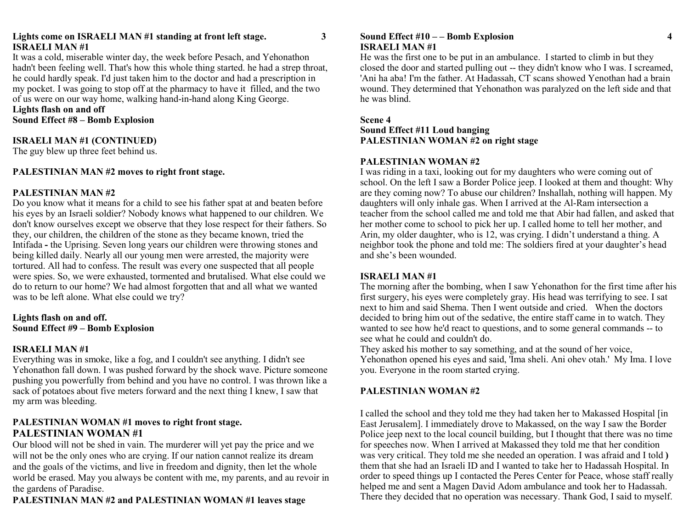### Lights come on ISRAELI MAN #1 standing at front left stage. 3 ISRAELI MAN #1

It was a cold, miserable winter day, the week before Pesach, and Yehonathon hadn't been feeling well. That's how this whole thing started. he had a strep throat, he could hardly speak. I'd just taken him to the doctor and had a prescription in my pocket. I was going to stop off at the pharmacy to have it filled, and the two of us were on our way home, walking hand-in-hand along King George.

Lights flash on and off Sound Effect #8 – Bomb Explosion

# ISRAELI MAN #1 (CONTINUED)

The guy blew up three feet behind us.

PALESTINIAN MAN #2 moves to right front stage.

# PALESTINIAN MAN #2

Do you know what it means for a child to see his father spat at and beaten before his eyes by an Israeli soldier? Nobody knows what happened to our children. We don't know ourselves except we observe that they lose respect for their fathers. So they, our children, the children of the stone as they became known, tried the Intifada - the Uprising. Seven long years our children were throwing stones and being killed daily. Nearly all our young men were arrested, the majority were tortured. All had to confess. The result was every one suspected that all people were spies. So, we were exhausted, tormented and brutalised. What else could we do to return to our home? We had almost forgotten that and all what we wanted was to be left alone. What else could we try?

Lights flash on and off. Sound Effect #9 – Bomb Explosion

# ISRAELI MAN #1

Everything was in smoke, like a fog, and I couldn't see anything. I didn't see Yehonathon fall down. I was pushed forward by the shock wave. Picture someone pushing you powerfully from behind and you have no control. I was thrown like a sack of potatoes about five meters forward and the next thing I knew, I saw that my arm was bleeding.

# PALESTINIAN WOMAN #1 moves to right front stage. PALESTINIAN WOMAN #1

Our blood will not be shed in vain. The murderer will yet pay the price and we will not be the only ones who are crying. If our nation cannot realize its dream and the goals of the victims, and live in freedom and dignity, then let the whole world be erased. May you always be content with me, my parents, and au revoir in the gardens of Paradise.

PALESTINIAN MAN #2 and PALESTINIAN WOMAN #1 leaves stage

# Sound Effect #10 – – Bomb Explosion 4 ISRAELI MAN #1

He was the first one to be put in an ambulance. I started to climb in but they closed the door and started pulling out -- they didn't know who I was. I screamed, 'Ani ha aba! I'm the father. At Hadassah, CT scans showed Yenothan had a brain wound. They determined that Yehonathon was paralyzed on the left side and that he was blind.

# Scene 4

# Sound Effect #11 Loud banging PALESTINIAN WOMAN #2 on right stage

# PALESTINIAN WOMAN #2

I was riding in a taxi, looking out for my daughters who were coming out of school. On the left I saw a Border Police jeep. I looked at them and thought: Why are they coming now? To abuse our children? Inshallah, nothing will happen. My daughters will only inhale gas. When I arrived at the Al-Ram intersection a teacher from the school called me and told me that Abir had fallen, and asked that her mother come to school to pick her up. I called home to tell her mother, and Arin, my older daughter, who is 12, was crying. I didn't understand a thing. A neighbor took the phone and told me: The soldiers fired at your daughter's head and she's been wounded.

# ISRAELI MAN #1

The morning after the bombing, when I saw Yehonathon for the first time after his first surgery, his eyes were completely gray. His head was terrifying to see. I sat next to him and said Shema. Then I went outside and cried. When the doctors decided to bring him out of the sedative, the entire staff came in to watch. They wanted to see how he'd react to questions, and to some general commands -- to see what he could and couldn't do.

They asked his mother to say something, and at the sound of her voice, Yehonathon opened his eyes and said, 'Ima sheli. Ani ohev otah.' My Ima. I love you. Everyone in the room started crying.

# PALESTINIAN WOMAN #2

I called the school and they told me they had taken her to Makassed Hospital [in East Jerusalem]. I immediately drove to Makassed, on the way I saw the Border Police jeep next to the local council building, but I thought that there was no time for speeches now. When I arrived at Makassed they told me that her condition was very critical. They told me she needed an operation. I was afraid and I told ) them that she had an Israeli ID and I wanted to take her to Hadassah Hospital. In order to speed things up I contacted the Peres Center for Peace, whose staff really helped me and sent a Magen David Adom ambulance and took her to Hadassah. There they decided that no operation was necessary. Thank God, I said to myself.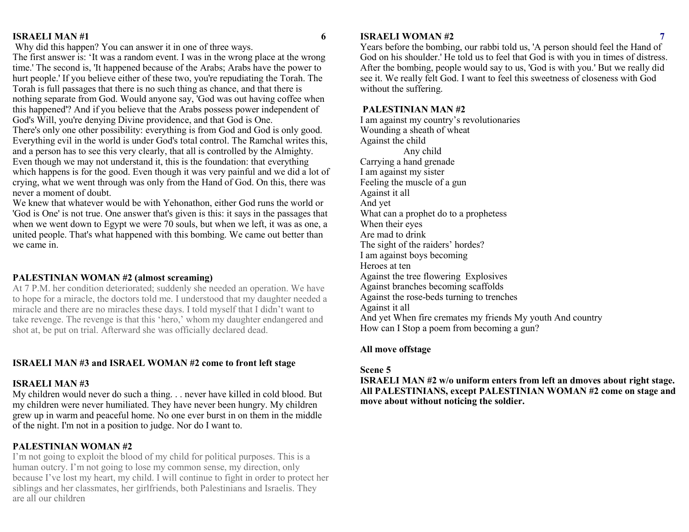#### ISRAELI MAN #1 6

Why did this happen? You can answer it in one of three ways.

The first answer is: 'It was a random event. I was in the wrong place at the wrong time.' The second is, 'It happened because of the Arabs; Arabs have the power to hurt people.' If you believe either of these two, you're repudiating the Torah. The Torah is full passages that there is no such thing as chance, and that there is nothing separate from God. Would anyone say, 'God was out having coffee when this happened'? And if you believe that the Arabs possess power independent of God's Will, you're denying Divine providence, and that God is One. There's only one other possibility: everything is from God and God is only good. Everything evil in the world is under God's total control. The Ramchal writes this, and a person has to see this very clearly, that all is controlled by the Almighty. Even though we may not understand it, this is the foundation: that everything which happens is for the good. Even though it was very painful and we did a lot of crying, what we went through was only from the Hand of God. On this, there was never a moment of doubt.

We knew that whatever would be with Yehonathon, either God runs the world or 'God is One' is not true. One answer that's given is this: it says in the passages that when we went down to Egypt we were 70 souls, but when we left, it was as one, a united people. That's what happened with this bombing. We came out better than we came in.

# PALESTINIAN WOMAN #2 (almost screaming)

At 7 P.M. her condition deteriorated; suddenly she needed an operation. We have to hope for a miracle, the doctors told me. I understood that my daughter needed a miracle and there are no miracles these days. I told myself that I didn't want to take revenge. The revenge is that this 'hero,' whom my daughter endangered and shot at, be put on trial. Afterward she was officially declared dead.

# ISRAELI MAN #3 and ISRAEL WOMAN #2 come to front left stage

# ISRAELI MAN #3

My children would never do such a thing. . . never have killed in cold blood. But my children were never humiliated. They have never been hungry. My children grew up in warm and peaceful home. No one ever burst in on them in the middle of the night. I'm not in a position to judge. Nor do I want to.

# PALESTINIAN WOMAN #2

I'm not going to exploit the blood of my child for political purposes. This is a human outcry. I'm not going to lose my common sense, my direction, only because I've lost my heart, my child. I will continue to fight in order to protect her siblings and her classmates, her girlfriends, both Palestinians and Israelis. They are all our children

# $\text{ISRAELI WOMAN #2}$  7

Years before the bombing, our rabbi told us, 'A person should feel the Hand of God on his shoulder.' He told us to feel that God is with you in times of distress. After the bombing, people would say to us, 'God is with you.' But we really did see it. We really felt God. I want to feel this sweetness of closeness with God without the suffering.

# PALESTINIAN MAN #2

I am against my country's revolutionaries Wounding a sheath of wheat Against the child Any child Carrying a hand grenade I am against my sister Feeling the muscle of a gun Against it all And yet What can a prophet do to a prophetess When their eyes Are mad to drink The sight of the raiders' hordes? I am against boys becoming Heroes at ten Against the tree flowering Explosives Against branches becoming scaffolds Against the rose-beds turning to trenches Against it all And yet When fire cremates my friends My youth And country How can I Stop a poem from becoming a gun?

# All move offstage

# Scene 5

ISRAELI MAN #2 w/o uniform enters from left an dmoves about right stage. All PALESTINIANS, except PALESTINIAN WOMAN #2 come on stage and move about without noticing the soldier.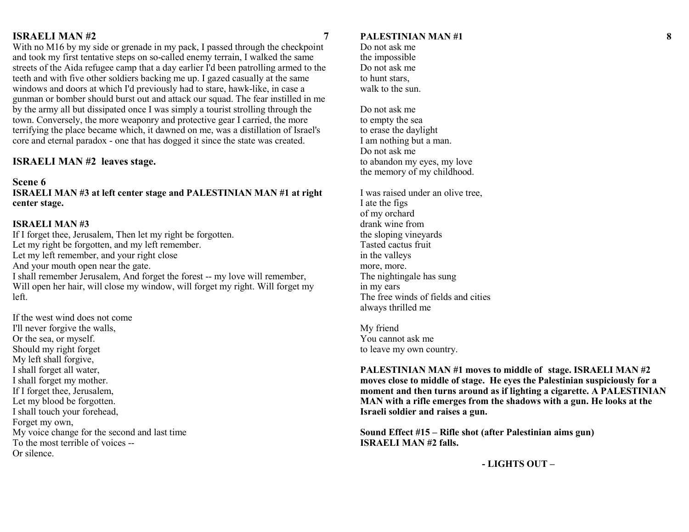# $\text{ISRAELI}$  MAN #2 7

With no M16 by my side or grenade in my pack, I passed through the checkpoint and took my first tentative steps on so-called enemy terrain, I walked the same streets of the Aida refugee camp that a day earlier I'd been patrolling armed to the teeth and with five other soldiers backing me up. I gazed casually at the same windows and doors at which I'd previously had to stare, hawk-like, in case a gunman or bomber should burst out and attack our squad. The fear instilled in me by the army all but dissipated once I was simply a tourist strolling through the town. Conversely, the more weaponry and protective gear I carried, the more terrifying the place became which, it dawned on me, was a distillation of Israel's core and eternal paradox - one that has dogged it since the state was created.

# ISRAELI MAN #2 leaves stage.

### Scene 6

ISRAELI MAN #3 at left center stage and PALESTINIAN MAN #1 at right center stage.

### ISRAELI MAN #3

If I forget thee, Jerusalem, Then let my right be forgotten. Let my right be forgotten, and my left remember. Let my left remember, and your right close And your mouth open near the gate. I shall remember Jerusalem, And forget the forest -- my love will remember, Will open her hair, will close my window, will forget my right. Will forget my left.

If the west wind does not come I'll never forgive the walls, Or the sea, or myself. Should my right forget My left shall forgive, I shall forget all water, I shall forget my mother. If I forget thee, Jerusalem, Let my blood be forgotten. I shall touch your forehead, Forget my own, My voice change for the second and last time To the most terrible of voices -- Or silence.

# PALESTINIAN MAN #1 8

Do not ask me the impossible Do not ask me to hunt stars, walk to the sun.

Do not ask me to empty the sea to erase the daylight I am nothing but a man. Do not ask me to abandon my eyes, my love the memory of my childhood.

I was raised under an olive tree, I ate the figs of my orchard drank wine from the sloping vineyards Tasted cactus fruit in the valleys more, more. The nightingale has sung in my ears The free winds of fields and cities always thrilled me

My friend You cannot ask me to leave my own country.

PALESTINIAN MAN #1 moves to middle of stage. ISRAELI MAN #2 moves close to middle of stage. He eyes the Palestinian suspiciously for a moment and then turns around as if lighting a cigarette. A PALESTINIAN MAN with a rifle emerges from the shadows with a gun. He looks at the Israeli soldier and raises a gun.

Sound Effect #15 – Rifle shot (after Palestinian aims gun) ISRAELI MAN #2 falls.

- LIGHTS OUT –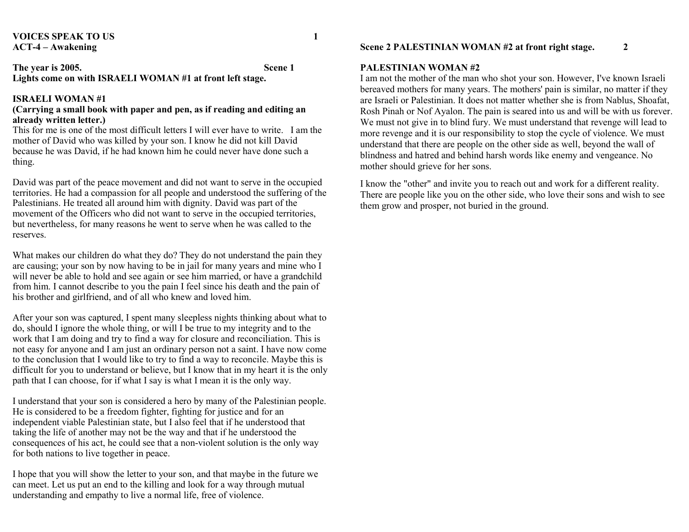#### VOICES SPEAK TO US 2000 12 ACT-4 – Awakening

The year is 2005. Lights come on with ISRAELI WOMAN #1 at front left stage.

# ISRAELI WOMAN #1

# (Carrying a small book with paper and pen, as if reading and editing an already written letter.)

This for me is one of the most difficult letters I will ever have to write. I am the mother of David who was killed by your son. I know he did not kill David because he was David, if he had known him he could never have done such a thing.

David was part of the peace movement and did not want to serve in the occupied territories. He had a compassion for all people and understood the suffering of the Palestinians. He treated all around him with dignity. David was part of the movement of the Officers who did not want to serve in the occupied territories, but nevertheless, for many reasons he went to serve when he was called to the reserves.

What makes our children do what they do? They do not understand the pain they are causing; your son by now having to be in jail for many years and mine who I will never be able to hold and see again or see him married, or have a grandchild from him. I cannot describe to you the pain I feel since his death and the pain of his brother and girlfriend, and of all who knew and loved him.

After your son was captured, I spent many sleepless nights thinking about what to do, should I ignore the whole thing, or will I be true to my integrity and to the work that I am doing and try to find a way for closure and reconciliation. This is not easy for anyone and I am just an ordinary person not a saint. I have now come to the conclusion that I would like to try to find a way to reconcile. Maybe this is difficult for you to understand or believe, but I know that in my heart it is the only path that I can choose, for if what I say is what I mean it is the only way.

I understand that your son is considered a hero by many of the Palestinian people. He is considered to be a freedom fighter, fighting for justice and for an independent viable Palestinian state, but I also feel that if he understood that taking the life of another may not be the way and that if he understood the consequences of his act, he could see that a non-violent solution is the only way for both nations to live together in peace.

I hope that you will show the letter to your son, and that maybe in the future we can meet. Let us put an end to the killing and look for a way through mutual understanding and empathy to live a normal life, free of violence.

# Scene 2 PALESTINIAN WOMAN #2 at front right stage. 2

# PALESTINIAN WOMAN #2

I am not the mother of the man who shot your son. However, I've known Israeli bereaved mothers for many years. The mothers' pain is similar, no matter if they are Israeli or Palestinian. It does not matter whether she is from Nablus, Shoafat, Rosh Pinah or Nof Ayalon. The pain is seared into us and will be with us forever. We must not give in to blind fury. We must understand that revenge will lead to more revenge and it is our responsibility to stop the cycle of violence. We must understand that there are people on the other side as well, beyond the wall of blindness and hatred and behind harsh words like enemy and vengeance. No mother should grieve for her sons.

I know the "other" and invite you to reach out and work for a different reality. There are people like you on the other side, who love their sons and wish to see them grow and prosper, not buried in the ground.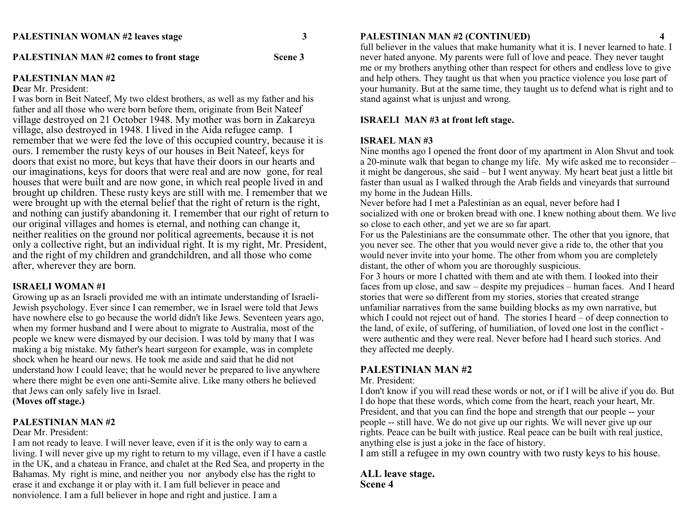### PALESTINIAN MAN #2 comes to front stage Scene 3

### PALESTINIAN MAN #2

Dear Mr. President:

I was born in Beit Nateef, My two eldest brothers, as well as my father and his father and all those who were born before them, originate from Beit Nateef village destroyed on 21 October 1948. My mother was born in Zakareya village, also destroyed in 1948. I lived in the Aida refugee camp. I remember that we were fed the love of this occupied country, because it is ours. I remember the rusty keys of our houses in Beit Nateef, keys for doors that exist no more, but keys that have their doors in our hearts and our imaginations, keys for doors that were real and are now gone, for real houses that were built and are now gone, in which real people lived in and brought up children. These rusty keys are still with me. I remember that we were brought up with the eternal belief that the right of return is the right, and nothing can justify abandoning it. I remember that our right of return to our original villages and homes is eternal, and nothing can change it, neither realities on the ground nor political agreements, because it is not only a collective right, but an individual right. It is my right, Mr. President, and the right of my children and grandchildren, and all those who come after, wherever they are born.

# ISRAELI WOMAN #1

Growing up as an Israeli provided me with an intimate understanding of Israeli-Jewish psychology. Ever since I can remember, we in Israel were told that Jews have nowhere else to go because the world didn't like Jews. Seventeen years ago, when my former husband and I were about to migrate to Australia, most of the people we knew were dismayed by our decision. I was told by many that I was making a big mistake. My father's heart surgeon for example, was in complete shock when he heard our news. He took me aside and said that he did not understand how I could leave; that he would never be prepared to live anywhere where there might be even one anti-Semite alive. Like many others he believed that Jews can only safely live in Israel.

(Moves off stage.)

# PALESTINIAN MAN #2

# Dear Mr. President:

I am not ready to leave. I will never leave, even if it is the only way to earn a living. I will never give up my right to return to my village, even if I have a castle in the UK, and a chateau in France, and chalet at the Red Sea, and property in the Bahamas. My right is mine, and neither you nor anybody else has the right to erase it and exchange it or play with it. I am full believer in peace and nonviolence. I am a full believer in hope and right and justice. I am a

PALESTINIAN MAN #2 (CONTINUED) 4

full believer in the values that make humanity what it is. I never learned to hate. I never hated anyone. My parents were full of love and peace. They never taught me or my brothers anything other than respect for others and endless love to give and help others. They taught us that when you practice violence you lose part of your humanity. But at the same time, they taught us to defend what is right and to stand against what is unjust and wrong.

# ISRAELI MAN #3 at front left stage.

# ISRAEL MAN #3

Nine months ago I opened the front door of my apartment in Alon Shvut and took a 20-minute walk that began to change my life. My wife asked me to reconsider – it might be dangerous, she said – but I went anyway. My heart beat just a little bit faster than usual as I walked through the Arab fields and vineyards that surround my home in the Judean Hills.

Never before had I met a Palestinian as an equal, never before had I socialized with one or broken bread with one. I knew nothing about them. We live so close to each other, and yet we are so far apart.

For us the Palestinians are the consummate other. The other that you ignore, that you never see. The other that you would never give a ride to, the other that you would never invite into your home. The other from whom you are completely distant, the other of whom you are thoroughly suspicious.

For 3 hours or more I chatted with them and ate with them. I looked into their faces from up close, and saw – despite my prejudices – human faces. And I heard stories that were so different from my stories, stories that created strange unfamiliar narratives from the same building blocks as my own narrative, but which I could not reject out of hand. The stories I heard – of deep connection to the land, of exile, of suffering, of humiliation, of loved one lost in the conflict were authentic and they were real. Never before had I heard such stories. And they affected me deeply.

# PALESTINIAN MAN #2

# Mr. President:

I don't know if you will read these words or not, or if I will be alive if you do. But I do hope that these words, which come from the heart, reach your heart, Mr. President, and that you can find the hope and strength that our people -- your people -- still have. We do not give up our rights. We will never give up our rights. Peace can be built with justice. Real peace can be built with real justice, anything else is just a joke in the face of history.

I am still a refugee in my own country with two rusty keys to his house.

ALL leave stage. Scene 4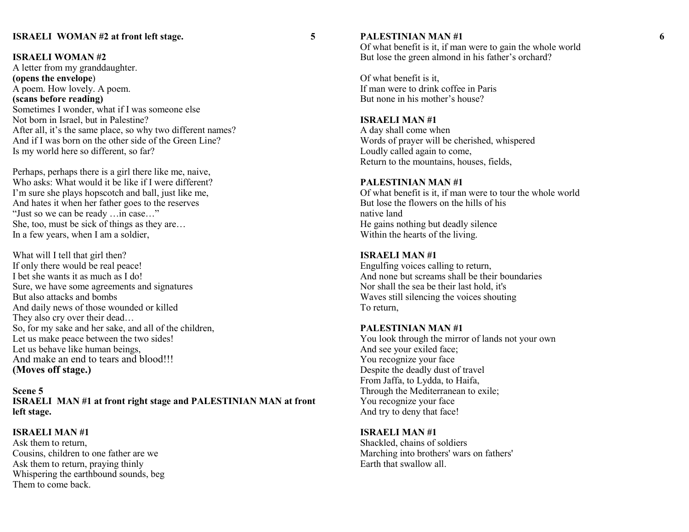#### ISRAELI WOMAN #2 at front left stage. 5

#### ISRAELI WOMAN #2

A letter from my granddaughter. (opens the envelope) A poem. How lovely. A poem. (scans before reading) Sometimes I wonder, what if I was someone else Not born in Israel, but in Palestine? After all, it's the same place, so why two different names? And if I was born on the other side of the Green Line? Is my world here so different, so far?

Perhaps, perhaps there is a girl there like me, naive, Who asks: What would it be like if I were different? I'm sure she plays hopscotch and ball, just like me, And hates it when her father goes to the reserves "Just so we can be ready …in case…" She, too, must be sick of things as they are… In a few years, when I am a soldier,

What will I tell that girl then? If only there would be real peace! I bet she wants it as much as I do! Sure, we have some agreements and signatures But also attacks and bombs And daily news of those wounded or killed They also cry over their dead… So, for my sake and her sake, and all of the children, Let us make peace between the two sides! Let us behave like human beings, And make an end to tears and blood!!! (Moves off stage.)

### Scene 5

ISRAELI MAN #1 at front right stage and PALESTINIAN MAN at front left stage.

### ISRAELI MAN #1

Ask them to return, Cousins, children to one father are we Ask them to return, praying thinly Whispering the earthbound sounds, beg Them to come back.

Of what benefit is it, if man were to gain the whole world But lose the green almond in his father's orchard?

Of what benefit is it, If man were to drink coffee in Paris But none in his mother's house?

#### ISRAELI MAN #1

A day shall come when Words of prayer will be cherished, whispered Loudly called again to come, Return to the mountains, houses, fields,

#### PALESTINIAN MAN #1

Of what benefit is it, if man were to tour the whole world But lose the flowers on the hills of his native land He gains nothing but deadly silence Within the hearts of the living.

#### ISRAELI MAN #1

Engulfing voices calling to return, And none but screams shall be their boundaries Nor shall the sea be their last hold, it's Waves still silencing the voices shouting To return,

#### PALESTINIAN MAN #1

You look through the mirror of lands not your own And see your exiled face; You recognize your face Despite the deadly dust of travel From Jaffa, to Lydda, to Haifa, Through the Mediterranean to exile; You recognize your face And try to deny that face!

#### ISRAELI MAN #1

Shackled, chains of soldiers Marching into brothers' wars on fathers' Earth that swallow all.